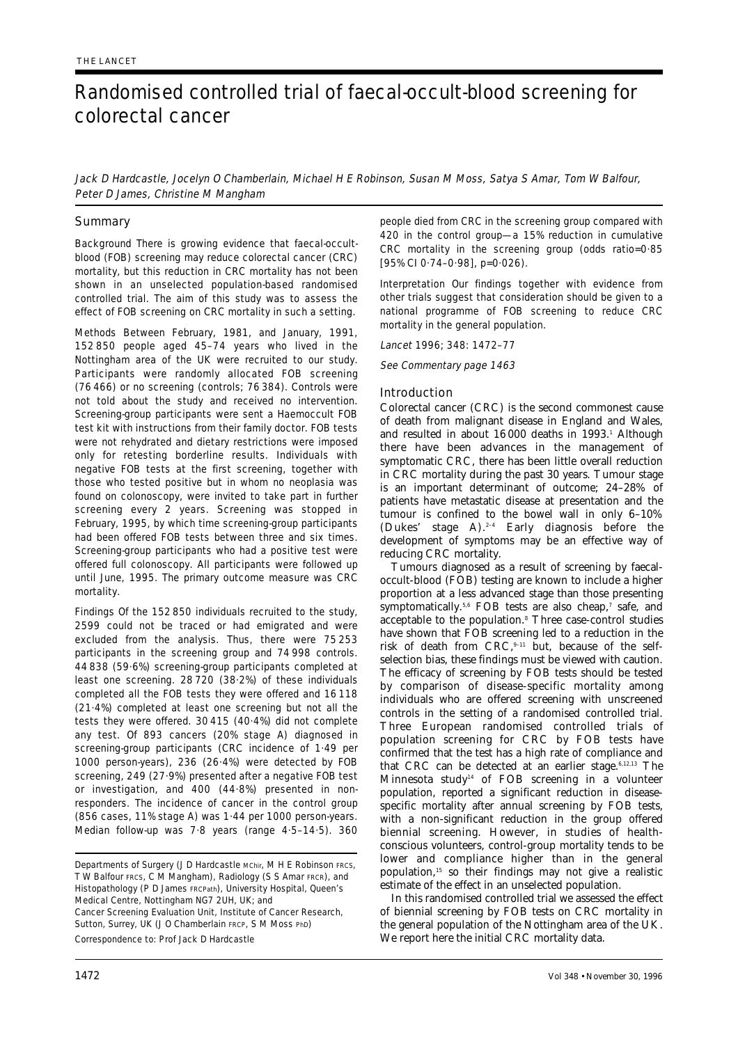# Randomised controlled trial of faecal-occult-blood screening for colorectal cancer

Jack D Hardcastle, Jocelyn O Chamberlain, Michael H E Robinson, Susan M Moss, Satya S Amar, Tom W Balfour, Peter D James, Christine M Mangham

# **Summary**

Background There is growing evidence that faecal-occultblood (FOB) screening may reduce colorectal cancer (CRC) mortality, but this reduction in CRC mortality has not been shown in an unselected population-based randomised controlled trial. The aim of this study was to assess the effect of FOB screening on CRC mortality in such a setting.

Methods Between February, 1981, and January, 1991, 152 850 people aged 45–74 years who lived in the Nottingham area of the UK were recruited to our study. Participants were randomly allocated FOB screening (76 466) or no screening (controls; 76 384). Controls were not told about the study and received no intervention. Screening-group participants were sent a Haemoccult FOB test kit with instructions from their family doctor. FOB tests were not rehydrated and dietary restrictions were imposed only for retesting borderline results. Individuals with negative FOB tests at the first screening, together with those who tested positive but in whom no neoplasia was found on colonoscopy, were invited to take part in further screening every 2 years. Screening was stopped in February, 1995, by which time screening-group participants had been offered FOB tests between three and six times. Screening-group participants who had a positive test were offered full colonoscopy. All participants were followed up until June, 1995. The primary outcome measure was CRC mortality.

Findings Of the 152 850 individuals recruited to the study, 2599 could not be traced or had emigrated and were excluded from the analysis. Thus, there were 75 253 participants in the screening group and 74 998 controls. 44 838 (59·6%) screening-group participants completed at least one screening. 28 720 (38·2%) of these individuals completed all the FOB tests they were offered and 16 118 (21·4%) completed at least one screening but not all the tests they were offered. 30 415 (40·4%) did not complete any test. Of 893 cancers (20% stage A) diagnosed in screening-group participants (CRC incidence of 1·49 per 1000 person-years), 236 (26·4%) were detected by FOB screening, 249 (27·9%) presented after a negative FOB test or investigation, and 400 (44·8%) presented in nonresponders. The incidence of cancer in the control group (856 cases, 11% stage A) was 1·44 per 1000 person-years. Median follow-up was 7·8 years (range 4·5–14·5). 360

Departments of Surgery (J D Hardcastle Mchir, M H E Robinson FRCS, T W Balfour FRCS, C M Mangham), Radiology (S S Amar FRCR), and Histopathology (P D James FRCPath), University Hospital, Queen's Medical Centre, Nottingham NG7 2UH, UK; and Cancer Screening Evaluation Unit, Institute of Cancer Research, Sutton, Surrey, UK (J O Chamberlain FRCP, S M Moss PhD) Correspondence to: Prof Jack D Hardcastle

people died from CRC in the screening group compared with 420 in the control group—a 15% reduction in cumulative CRC mortality in the screening group (odds ratio=0·85 [95% CI 0·74-0·98], p=0·026).

Interpretation Our findings together with evidence from other trials suggest that consideration should be given to a national programme of FOB screening to reduce CRC mortality in the general population.

Lancet 1996; 348: 1472–77

See Commentary page 1463

# Introduction

Colorectal cancer (CRC) is the second commonest cause of death from malignant disease in England and Wales, and resulted in about 16000 deaths in 1993.<sup>1</sup> Although there have been advances in the management of symptomatic CRC, there has been little overall reduction in CRC mortality during the past 30 years. Tumour stage is an important determinant of outcome; 24–28% of patients have metastatic disease at presentation and the tumour is confined to the bowel wall in only 6–10% (Dukes' stage A).<sup>2-4</sup> Early diagnosis before the development of symptoms may be an effective way of reducing CRC mortality.

Tumours diagnosed as a result of screening by faecaloccult-blood (FOB) testing are known to include a higher proportion at a less advanced stage than those presenting symptomatically.<sup>5,6</sup> FOB tests are also cheap,<sup>7</sup> safe, and acceptable to the population.8 Three case-control studies have shown that FOB screening led to a reduction in the risk of death from CRC, $9-11$  but, because of the selfselection bias, these findings must be viewed with caution. The efficacy of screening by FOB tests should be tested by comparison of disease-specific mortality among individuals who are offered screening with unscreened controls in the setting of a randomised controlled trial. Three European randomised controlled trials of population screening for CRC by FOB tests have confirmed that the test has a high rate of compliance and that CRC can be detected at an earlier stage.6,12,13 The Minnesota study<sup>14</sup> of FOB screening in a volunteer population, reported a significant reduction in diseasespecific mortality after annual screening by FOB tests, with a non-significant reduction in the group offered biennial screening. However, in studies of healthconscious volunteers, control-group mortality tends to be lower and compliance higher than in the general population,15 so their findings may not give a realistic estimate of the effect in an unselected population.

In this randomised controlled trial we assessed the effect of biennial screening by FOB tests on CRC mortality in the general population of the Nottingham area of the UK. We report here the initial CRC mortality data.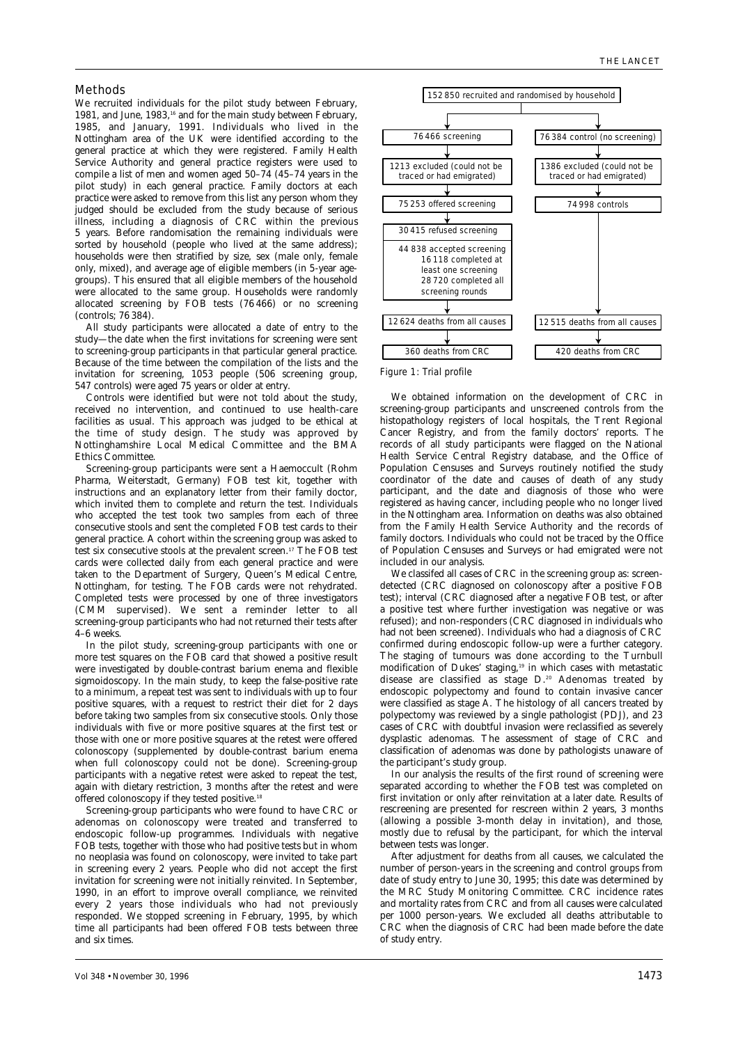## Methods

We recruited individuals for the pilot study between February, 1981, and June, 1983,<sup>16</sup> and for the main study between February, 1985, and January, 1991. Individuals who lived in the Nottingham area of the UK were identified according to the general practice at which they were registered. Family Health Service Authority and general practice registers were used to compile a list of men and women aged 50–74 (45–74 years in the pilot study) in each general practice. Family doctors at each practice were asked to remove from this list any person whom they judged should be excluded from the study because of serious illness, including a diagnosis of CRC within the previous 5 years. Before randomisation the remaining individuals were sorted by household (people who lived at the same address); households were then stratified by size, sex (male only, female only, mixed), and average age of eligible members (in 5-year agegroups). This ensured that all eligible members of the household were allocated to the same group. Households were randomly allocated screening by FOB tests (76 466) or no screening (controls; 76 384).

All study participants were allocated a date of entry to the study—the date when the first invitations for screening were sent to screening-group participants in that particular general practice. Because of the time between the compilation of the lists and the invitation for screening, 1053 people (506 screening group, 547 controls) were aged 75 years or older at entry.

Controls were identified but were not told about the study, received no intervention, and continued to use health-care facilities as usual. This approach was judged to be ethical at the time of study design. The study was approved by Nottinghamshire Local Medical Committee and the BMA Ethics Committee.

Screening-group participants were sent a Haemoccult (Rohm Pharma, Weiterstadt, Germany) FOB test kit, together with instructions and an explanatory letter from their family doctor, which invited them to complete and return the test. Individuals who accepted the test took two samples from each of three consecutive stools and sent the completed FOB test cards to their general practice. A cohort within the screening group was asked to test six consecutive stools at the prevalent screen.17 The FOB test cards were collected daily from each general practice and were taken to the Department of Surgery, Queen's Medical Centre, Nottingham, for testing. The FOB cards were not rehydrated. Completed tests were processed by one of three investigators (CMM supervised). We sent a reminder letter to all screening-group participants who had not returned their tests after 4–6 weeks.

In the pilot study, screening-group participants with one or more test squares on the FOB card that showed a positive result were investigated by double-contrast barium enema and flexible sigmoidoscopy. In the main study, to keep the false-positive rate to a minimum, a repeat test was sent to individuals with up to four positive squares, with a request to restrict their diet for 2 days before taking two samples from six consecutive stools. Only those individuals with five or more positive squares at the first test or those with one or more positive squares at the retest were offered colonoscopy (supplemented by double-contrast barium enema when full colonoscopy could not be done). Screening-group participants with a negative retest were asked to repeat the test, again with dietary restriction, 3 months after the retest and were offered colonoscopy if they tested positive.<sup>18</sup>

Screening-group participants who were found to have CRC or adenomas on colonoscopy were treated and transferred to endoscopic follow-up programmes. Individuals with negative FOB tests, together with those who had positive tests but in whom no neoplasia was found on colonoscopy, were invited to take part in screening every 2 years. People who did not accept the first invitation for screening were not initially reinvited. In September, 1990, in an effort to improve overall compliance, we reinvited every 2 years those individuals who had not previously responded. We stopped screening in February, 1995, by which time all participants had been offered FOB tests between three and six times.



Figure 1: Trial profile

We obtained information on the development of CRC in screening-group participants and unscreened controls from the histopathology registers of local hospitals, the Trent Regional Cancer Registry, and from the family doctors' reports. The records of all study participants were flagged on the National Health Service Central Registry database, and the Office of Population Censuses and Surveys routinely notified the study coordinator of the date and causes of death of any study participant, and the date and diagnosis of those who were registered as having cancer, including people who no longer lived in the Nottingham area. Information on deaths was also obtained from the Family Health Service Authority and the records of family doctors. Individuals who could not be traced by the Office of Population Censuses and Surveys or had emigrated were not included in our analysis.

We classifed all cases of CRC in the screening group as: screendetected (CRC diagnosed on colonoscopy after a positive FOB test); interval (CRC diagnosed after a negative FOB test, or after a positive test where further investigation was negative or was refused); and non-responders (CRC diagnosed in individuals who had not been screened). Individuals who had a diagnosis of CRC confirmed during endoscopic follow-up were a further category. The staging of tumours was done according to the Turnbull modification of Dukes' staging,<sup>19</sup> in which cases with metastatic disease are classified as stage D.<sup>20</sup> Adenomas treated by endoscopic polypectomy and found to contain invasive cancer were classified as stage A. The histology of all cancers treated by polypectomy was reviewed by a single pathologist (PDJ), and 23 cases of CRC with doubtful invasion were reclassified as severely dysplastic adenomas. The assessment of stage of CRC and classification of adenomas was done by pathologists unaware of the participant's study group.

In our analysis the results of the first round of screening were separated according to whether the FOB test was completed on first invitation or only after reinvitation at a later date. Results of rescreening are presented for rescreen within 2 years, 3 months (allowing a possible 3-month delay in invitation), and those, mostly due to refusal by the participant, for which the interval between tests was longer.

After adjustment for deaths from all causes, we calculated the number of person-years in the screening and control groups from date of study entry to June 30, 1995; this date was determined by the MRC Study Monitoring Committee. CRC incidence rates and mortality rates from CRC and from all causes were calculated per 1000 person-years. We excluded all deaths attributable to CRC when the diagnosis of CRC had been made before the date of study entry.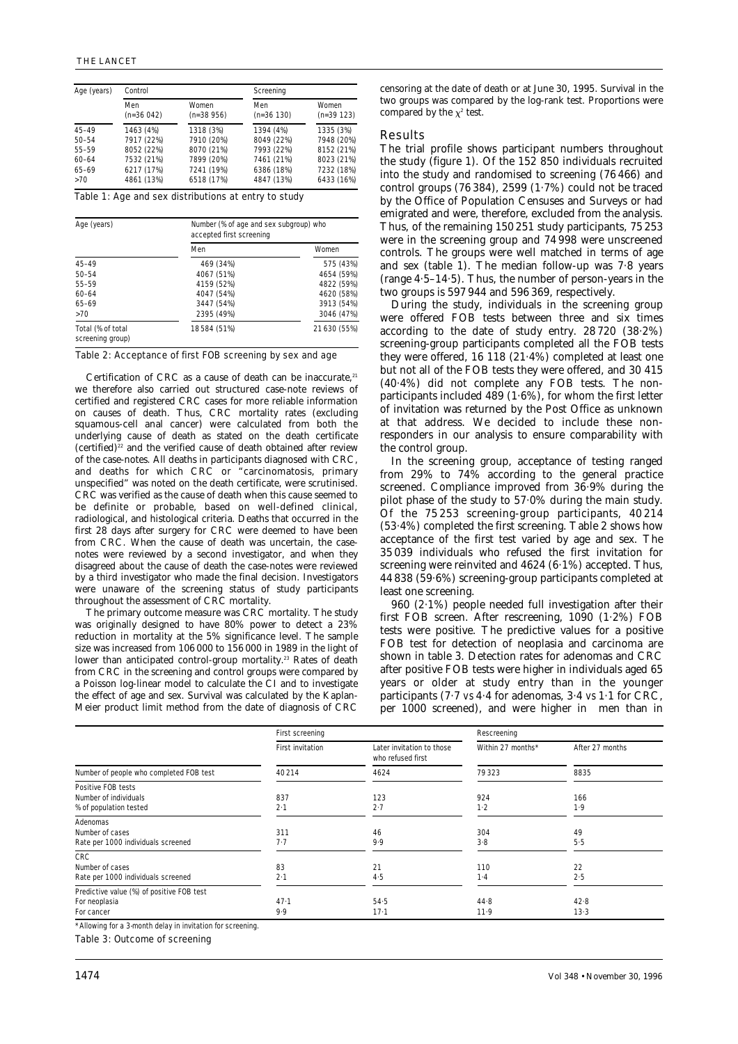| Age (years) | Control            |                      | Screening           |                       |  |  |  |
|-------------|--------------------|----------------------|---------------------|-----------------------|--|--|--|
|             | Men<br>$(n=36042)$ | Women<br>$(n=38956)$ | Men<br>$(n=36 130)$ | Women<br>$(n=39 123)$ |  |  |  |
| $45 - 49$   | 1463 (4%)          | 1318 (3%)            | 1394 (4%)           | 1335 (3%)             |  |  |  |
| $50 - 54$   | 7917 (22%)         | 7910 (20%)           | 8049 (22%)          | 7948 (20%)            |  |  |  |
| 55-59       | 8052 (22%)         | 8070 (21%)           | 7993 (22%)          | 8152 (21%)            |  |  |  |
| $60 - 64$   | 7532 (21%)         | 7899 (20%)           | 7461 (21%)          | 8023 (21%)            |  |  |  |
| 65-69       | 6217 (17%)         | 7241 (19%)           | 6386 (18%)          | 7232 (18%)            |  |  |  |
| >70         | 4861 (13%)         | 6518 (17%)           | 4847 (13%)          | 6433 (16%)            |  |  |  |

Table 1: Age and sex distributions at entry to study

| Age (years)                           | Number (% of age and sex subgroup) who<br>accepted first screening |              |
|---------------------------------------|--------------------------------------------------------------------|--------------|
|                                       | Men                                                                | Women        |
| $45 - 49$                             | 469 (34%)                                                          | 575 (43%)    |
| $50 - 54$                             | 4067 (51%)                                                         | 4654 (59%)   |
| 55-59                                 | 4159 (52%)                                                         | 4822 (59%)   |
| $60 - 64$                             | 4047 (54%)                                                         | 4620 (58%)   |
| 65-69                                 | 3447 (54%)                                                         | 3913 (54%)   |
| >70                                   | 2395 (49%)                                                         | 3046 (47%)   |
| Total (% of total<br>screening group) | 18584 (51%)                                                        | 21 630 (55%) |

Table 2: Acceptance of first FOB screening by sex and age

Certification of CRC as a cause of death can be inaccurate,<sup>21</sup> we therefore also carried out structured case-note reviews of certified and registered CRC cases for more reliable information on causes of death. Thus, CRC mortality rates (excluding squamous-cell anal cancer) were calculated from both the underlying cause of death as stated on the death certificate  $(certified)^{22}$  and the verified cause of death obtained after review of the case-notes. All deaths in participants diagnosed with CRC, and deaths for which CRC or "carcinomatosis, primary unspecified" was noted on the death certificate, were scrutinised. CRC was verified as the cause of death when this cause seemed to be definite or probable, based on well-defined clinical, radiological, and histological criteria. Deaths that occurred in the first 28 days after surgery for CRC were deemed to have been from CRC. When the cause of death was uncertain, the casenotes were reviewed by a second investigator, and when they disagreed about the cause of death the case-notes were reviewed by a third investigator who made the final decision. Investigators were unaware of the screening status of study participants throughout the assessment of CRC mortality.

The primary outcome measure was CRC mortality. The study was originally designed to have 80% power to detect a 23% reduction in mortality at the 5% significance level. The sample size was increased from 106 000 to 156 000 in 1989 in the light of lower than anticipated control-group mortality.<sup>23</sup> Rates of death from CRC in the screening and control groups were compared by a Poisson log-linear model to calculate the CI and to investigate the effect of age and sex. Survival was calculated by the Kaplan-Meier product limit method from the date of diagnosis of CRC

censoring at the date of death or at June 30, 1995. Survival in the two groups was compared by the log-rank test. Proportions were compared by the  $\chi^2$  test.

## Results

The trial profile shows participant numbers throughout the study (figure 1). Of the 152 850 individuals recruited into the study and randomised to screening (76 466) and control groups (76 384), 2599 (1·7%) could not be traced by the Office of Population Censuses and Surveys or had emigrated and were, therefore, excluded from the analysis. Thus, of the remaining 150 251 study participants, 75 253 were in the screening group and 74 998 were unscreened controls. The groups were well matched in terms of age and sex (table 1). The median follow-up was 7·8 years (range 4·5–14·5). Thus, the number of person-years in the two groups is 597 944 and 596 369, respectively.

During the study, individuals in the screening group were offered FOB tests between three and six times according to the date of study entry. 28 720 (38·2%) screening-group participants completed all the FOB tests they were offered, 16 118 (21·4%) completed at least one but not all of the FOB tests they were offered, and 30 415 (40·4%) did not complete any FOB tests. The nonparticipants included 489 (1·6%), for whom the first letter of invitation was returned by the Post Office as unknown at that address. We decided to include these nonresponders in our analysis to ensure comparability with the control group.

In the screening group, acceptance of testing ranged from 29% to 74% according to the general practice screened. Compliance improved from 36·9% during the pilot phase of the study to 57·0% during the main study. Of the 75 253 screening-group participants, 40 214 (53·4%) completed the first screening. Table 2 shows how acceptance of the first test varied by age and sex. The 35 039 individuals who refused the first invitation for screening were reinvited and 4624 (6·1%) accepted. Thus, 44 838 (59·6%) screening-group participants completed at least one screening.

960 (2·1%) people needed full investigation after their first FOB screen. After rescreening, 1090 (1·2%) FOB tests were positive. The predictive values for a positive FOB test for detection of neoplasia and carcinoma are shown in table 3. Detection rates for adenomas and CRC after positive FOB tests were higher in individuals aged 65 years or older at study entry than in the younger participants (7·7 *vs* 4·4 for adenomas, 3·4 *vs* 1·1 for CRC, per 1000 screened), and were higher in men than in

|                                                                              | <b>First screening</b> |                                                | Rescreening       |                 |  |
|------------------------------------------------------------------------------|------------------------|------------------------------------------------|-------------------|-----------------|--|
|                                                                              | First invitation       | Later invitation to those<br>who refused first | Within 27 months* | After 27 months |  |
| Number of people who completed FOB test                                      | 40214                  | 4624                                           | 79323             | 8835            |  |
| <b>Positive FOB tests</b><br>Number of individuals<br>% of population tested | 837<br>2.1             | 123<br>2.7                                     | 924<br>$1-2$      | 166<br>1.9      |  |
| Adenomas<br>Number of cases<br>Rate per 1000 individuals screened            | 311<br>7.7             | 46<br>9.9                                      | 304<br>3.8        | 49<br>5.5       |  |
| <b>CRC</b><br>Number of cases<br>Rate per 1000 individuals screened          | 83<br>2.1              | 21<br>4.5                                      | 110<br>1.4        | 22<br>2.5       |  |
| Predictive value (%) of positive FOB test<br>For neoplasia<br>For cancer     | 47.1<br>9.9            | 54.5<br>$17-1$                                 | 44.8<br>11.9      | 42.8<br>13.3    |  |

\*Allowing for a 3-month delay in invitation for screening.

Table 3: Outcome of screening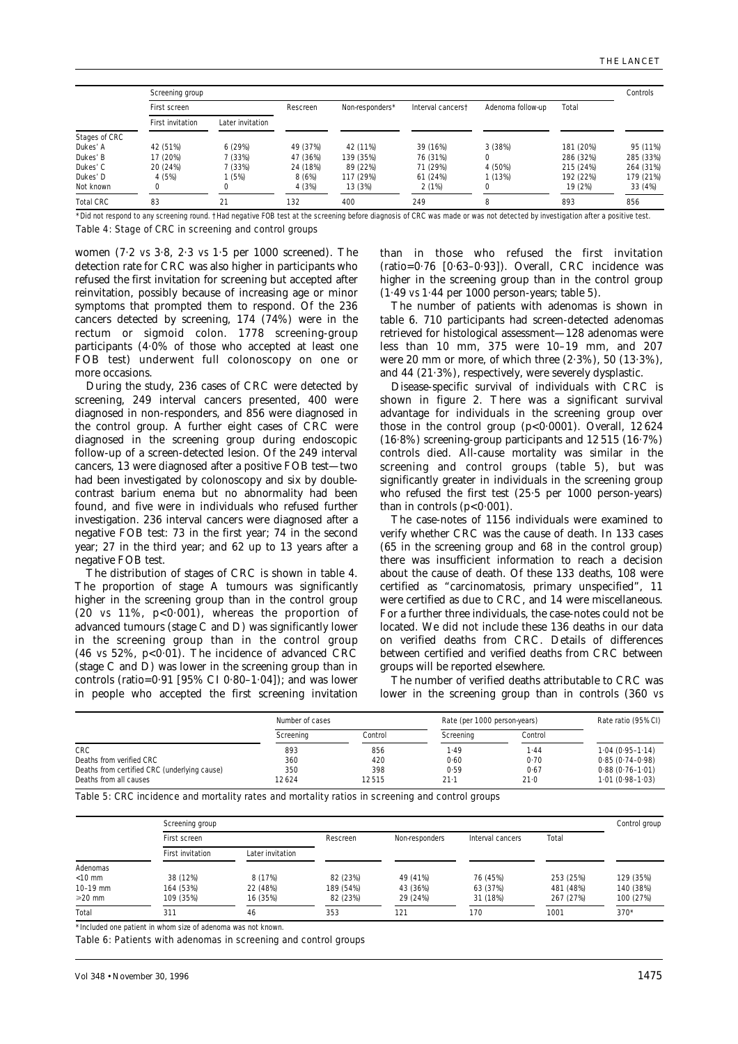|                  | Screening group  |                  |          |                 |                   |                   |           |           |
|------------------|------------------|------------------|----------|-----------------|-------------------|-------------------|-----------|-----------|
|                  | First screen     |                  | Rescreen | Non-responders* | Interval cancerst | Adenoma follow-up | Total     |           |
|                  | First invitation | Later invitation |          |                 |                   |                   |           |           |
| Stages of CRC    |                  |                  |          |                 |                   |                   |           |           |
| Dukes' A         | 42 (51%)         | 6(29%)           | 49 (37%) | 42 (11%)        | 39 (16%)          | 3(38%)            | 181 (20%) | 95 (11%)  |
| Dukes' B         | 17 (20%)         | 7 (33%)          | 47 (36%) | 139 (35%)       | 76 (31%)          |                   | 286 (32%) | 285 (33%) |
| Dukes' C         | 20 (24%)         | 7 (33%)          | 24 (18%) | 89 (22%)        | 71 (29%)          | 4 (50%)           | 215 (24%) | 264 (31%) |
| Dukes' D         | 4 (5%)           | 1 (5%)           | 8(6%)    | 117 (29%)       | 61 (24%)          | 1 (13%)           | 192 (22%) | 179 (21%) |
| Not known        | U                |                  | 4(3%)    | 13 (3%)         | 2(1%)             |                   | 19 (2%)   | 33 (4%)   |
| <b>Total CRC</b> | 83               | 21               | 132      | 400             | 249               | 8                 | 893       | 856       |

\*Did not respond to any screening round. †Had negative FOB test at the screening before diagnosis of CRC was made or was not detected by investigation after a positive test.

Table 4: Stage of CRC in screening and control groups

women (7·2 *vs* 3·8, 2·3 *vs* 1·5 per 1000 screened). The detection rate for CRC was also higher in participants who refused the first invitation for screening but accepted after reinvitation, possibly because of increasing age or minor symptoms that prompted them to respond. Of the 236 cancers detected by screening, 174 (74%) were in the rectum or sigmoid colon. 1778 screening-group participants (4·0% of those who accepted at least one FOB test) underwent full colonoscopy on one or more occasions.

During the study, 236 cases of CRC were detected by screening, 249 interval cancers presented, 400 were diagnosed in non-responders, and 856 were diagnosed in the control group. A further eight cases of CRC were diagnosed in the screening group during endoscopic follow-up of a screen-detected lesion. Of the 249 interval cancers, 13 were diagnosed after a positive FOB test—two had been investigated by colonoscopy and six by doublecontrast barium enema but no abnormality had been found, and five were in individuals who refused further investigation. 236 interval cancers were diagnosed after a negative FOB test: 73 in the first year; 74 in the second year; 27 in the third year; and 62 up to 13 years after a negative FOB test.

The distribution of stages of CRC is shown in table 4. The proportion of stage A tumours was significantly higher in the screening group than in the control group (20 *vs* 11%, p<0·001), whereas the proportion of advanced tumours (stage C and D) was significantly lower in the screening group than in the control group (46 *vs* 52%, p<0·01). The incidence of advanced CRC (stage C and D) was lower in the screening group than in controls (ratio= $0.91$  [ $95\%$  CI  $0.80-1.04$ ]); and was lower in people who accepted the first screening invitation than in those who refused the first invitation (ratio=0·76 [0·63–0·93]). Overall, CRC incidence was higher in the screening group than in the control group (1·49 *vs* 1·44 per 1000 person-years; table 5).

The number of patients with adenomas is shown in table 6. 710 participants had screen-detected adenomas retrieved for histological assessment—128 adenomas were less than 10 mm, 375 were 10–19 mm, and 207 were 20 mm or more, of which three (2·3%), 50 (13·3%), and 44 (21·3%), respectively, were severely dysplastic.

Disease-specific survival of individuals with CRC is shown in figure 2. There was a significant survival advantage for individuals in the screening group over those in the control group (p<0·0001). Overall, 12 624 (16·8%) screening-group participants and 12 515 (16·7%) controls died. All-cause mortality was similar in the screening and control groups (table 5), but was significantly greater in individuals in the screening group who refused the first test (25·5 per 1000 person-years) than in controls  $(p<0.001)$ .

The case-notes of 1156 individuals were examined to verify whether CRC was the cause of death. In 133 cases (65 in the screening group and 68 in the control group) there was insufficient information to reach a decision about the cause of death. Of these 133 deaths, 108 were certified as "carcinomatosis, primary unspecified", 11 were certified as due to CRC, and 14 were miscellaneous. For a further three individuals, the case-notes could not be located. We did not include these 136 deaths in our data on verified deaths from CRC. Details of differences between certified and verified deaths from CRC between groups will be reported elsewhere.

The number of verified deaths attributable to CRC was lower in the screening group than in controls (360 *vs*

|                                              | Number of cases |         | Rate (per 1000 person-years) |         | Rate ratio (95% CI) |  |
|----------------------------------------------|-----------------|---------|------------------------------|---------|---------------------|--|
|                                              | Screening       | Control | Screening                    | Control |                     |  |
| CRC                                          | 893             | 856     | 1.49                         | 1.44    | $1.04(0.95 - 1.14)$ |  |
| Deaths from verified CRC                     | 360             | 420     | 0.60                         | 0.70    | $0.85(0.74-0.98)$   |  |
| Deaths from certified CRC (underlying cause) | 350             | 398     | 0.59                         | 0.67    | $0.88(0.76 - 1.01)$ |  |
| Deaths from all causes                       | 12624           | 12515   | $21-1$                       | $21-0$  | $1.01(0.98 - 1.03)$ |  |

Table 5: CRC incidence and mortality rates and mortality ratios in screening and control groups

|              | Screening group  |                  |           |                |                  |           |           |  |
|--------------|------------------|------------------|-----------|----------------|------------------|-----------|-----------|--|
|              | First screen     |                  | Rescreen  | Non-responders | Interval cancers | Total     |           |  |
|              | First invitation | Later invitation |           |                |                  |           |           |  |
| Adenomas     |                  |                  |           |                |                  |           |           |  |
| $<$ 10 mm    | 38 (12%)         | 8 (17%)          | 82 (23%)  | 49 (41%)       | 76 (45%)         | 253 (25%) | 129 (35%) |  |
| $10-19$ mm   | 164 (53%)        | 22 (48%)         | 189 (54%) | 43 (36%)       | 63 (37%)         | 481 (48%) | 140 (38%) |  |
| $\geq 20$ mm | 109 (35%)        | 16 (35%)         | 82 (23%)  | 29 (24%)       | 31 (18%)         | 267 (27%) | 100 (27%) |  |
| Total        | 311              | 46               | 353       | 121            | 170              | 1001      | $370*$    |  |

\*Included one patient in whom size of adenoma was not known.

Table 6: Patients with adenomas in screening and control groups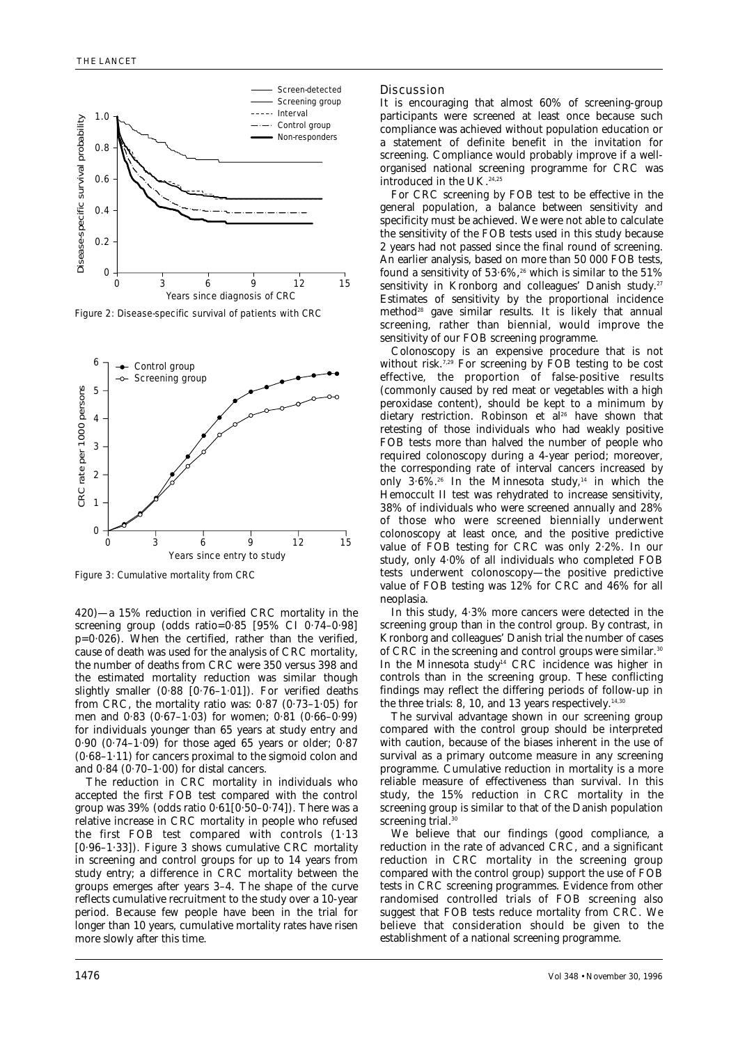

Figure 2: Disease-specific survival of patients with CRC



Figure 3: Cumulative mortality from CRC

420)—a 15% reduction in verified CRC mortality in the screening group (odds ratio=0·85 [95% CI 0·74–0·98]  $p=0.026$ ). When the certified, rather than the verified, cause of death was used for the analysis of CRC mortality, the number of deaths from CRC were 350 versus 398 and the estimated mortality reduction was similar though slightly smaller (0·88 [0·76–1·01]). For verified deaths from CRC, the mortality ratio was: 0·87 (0·73–1·05) for men and 0·83 (0·67–1·03) for women; 0·81 (0·66–0·99) for individuals younger than 65 years at study entry and 0·90 (0·74–1·09) for those aged 65 years or older; 0·87 (0·68–1·11) for cancers proximal to the sigmoid colon and and 0·84 (0·70–1·00) for distal cancers.

The reduction in CRC mortality in individuals who accepted the first FOB test compared with the control group was  $39\%$  (odds ratio  $0.61[0.50-0.74]$ ). There was a relative increase in CRC mortality in people who refused the first FOB test compared with controls (1·13 [0·96–1·33]). Figure 3 shows cumulative CRC mortality in screening and control groups for up to 14 years from study entry; a difference in CRC mortality between the groups emerges after years 3–4. The shape of the curve reflects cumulative recruitment to the study over a 10-year period. Because few people have been in the trial for longer than 10 years, cumulative mortality rates have risen more slowly after this time.

## **Discussion**

It is encouraging that almost 60% of screening-group participants were screened at least once because such compliance was achieved without population education or a statement of definite benefit in the invitation for screening. Compliance would probably improve if a wellorganised national screening programme for CRC was introduced in the UK.<sup>24,25</sup>

For CRC screening by FOB test to be effective in the general population, a balance between sensitivity and specificity must be achieved. We were not able to calculate the sensitivity of the FOB tests used in this study because 2 years had not passed since the final round of screening. An earlier analysis, based on more than 50 000 FOB tests, found a sensitivity of  $53.6\%$ ,<sup>26</sup> which is similar to the  $51\%$ sensitivity in Kronborg and colleagues' Danish study.<sup>27</sup> Estimates of sensitivity by the proportional incidence method<sup>28</sup> gave similar results. It is likely that annual screening, rather than biennial, would improve the sensitivity of our FOB screening programme.

Colonoscopy is an expensive procedure that is not without risk.<sup>7,29</sup> For screening by FOB testing to be cost effective, the proportion of false-positive results (commonly caused by red meat or vegetables with a high peroxidase content), should be kept to a minimum by dietary restriction. Robinson et  $a^{26}$  have shown that retesting of those individuals who had weakly positive FOB tests more than halved the number of people who required colonoscopy during a 4-year period; moreover, the corresponding rate of interval cancers increased by only  $3.6\%$ .<sup>26</sup> In the Minnesota study,<sup>14</sup> in which the Hemoccult II test was rehydrated to increase sensitivity, 38% of individuals who were screened annually and 28% of those who were screened biennially underwent colonoscopy at least once, and the positive predictive value of FOB testing for CRC was only 2·2%. In our study, only 4·0% of all individuals who completed FOB tests underwent colonoscopy—the positive predictive value of FOB testing was 12% for CRC and 46% for all neoplasia.

In this study, 4·3% more cancers were detected in the screening group than in the control group. By contrast, in Kronborg and colleagues' Danish trial the number of cases of CRC in the screening and control groups were similar.<sup>30</sup> In the Minnesota study<sup>14</sup> CRC incidence was higher in controls than in the screening group. These conflicting findings may reflect the differing periods of follow-up in the three trials:  $8$ ,  $10$ , and  $13$  years respectively.<sup>14,30</sup>

The survival advantage shown in our screening group compared with the control group should be interpreted with caution, because of the biases inherent in the use of survival as a primary outcome measure in any screening programme. Cumulative reduction in mortality is a more reliable measure of effectiveness than survival. In this study, the 15% reduction in CRC mortality in the screening group is similar to that of the Danish population screening trial.<sup>30</sup>

We believe that our findings (good compliance, a reduction in the rate of advanced CRC, and a significant reduction in CRC mortality in the screening group compared with the control group) support the use of FOB tests in CRC screening programmes. Evidence from other randomised controlled trials of FOB screening also suggest that FOB tests reduce mortality from CRC. We believe that consideration should be given to the establishment of a national screening programme.